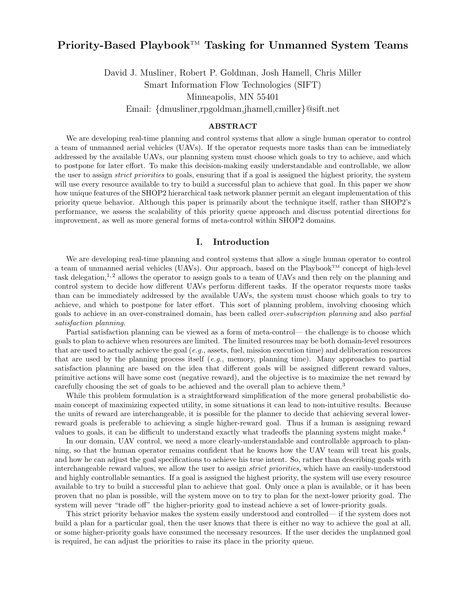# Priority-Based Playbook<sup>TM</sup> Tasking for Unmanned System Teams

David J. Musliner, Robert P. Goldman, Josh Hamell, Chris Miller Smart Information Flow Technologies (SIFT) Minneapolis, MN 55401 Email: {dmusliner,rpgoldman,jhamell,cmiller}@sift.net

## ABSTRACT

We are developing real-time planning and control systems that allow a single human operator to control a team of unmanned aerial vehicles (UAVs). If the operator requests more tasks than can be immediately addressed by the available UAVs, our planning system must choose which goals to try to achieve, and which to postpone for later effort. To make this decision-making easily understandable and controllable, we allow the user to assign *strict priorities* to goals, ensuring that if a goal is assigned the highest priority, the system will use every resource available to try to build a successful plan to achieve that goal. In this paper we show how unique features of the SHOP2 hierarchical task network planner permit an elegant implementation of this priority queue behavior. Although this paper is primarily about the technique itself, rather than SHOP2's performance, we assess the scalability of this priority queue approach and discuss potential directions for improvement, as well as more general forms of meta-control within SHOP2 domains.

#### I. Introduction

We are developing real-time planning and control systems that allow a single human operator to control a team of unmanned aerial vehicles (UAVs). Our approach, based on the Playbook<sup>TM</sup> concept of high-level task delegation,<sup>1,2</sup> allows the operator to assign goals to a team of UAVs and then rely on the planning and control system to decide how different UAVs perform different tasks. If the operator requests more tasks than can be immediately addressed by the available UAVs, the system must choose which goals to try to achieve, and which to postpone for later effort. This sort of planning problem, involving choosing which goals to achieve in an over-constrained domain, has been called over-subscription planning and also partial satisfaction planning.

Partial satisfaction planning can be viewed as a form of meta-control— the challenge is to choose which goals to plan to achieve when resources are limited. The limited resources may be both domain-level resources that are used to actually achieve the goal  $(e.g.,$  assets, fuel, mission execution time) and deliberation resources that are used by the planning process itself (*e.g.*, memory, planning time). Many approaches to partial satisfaction planning are based on the idea that different goals will be assigned different reward values, primitive actions will have some cost (negative reward), and the objective is to maximize the net reward by carefully choosing the set of goals to be achieved and the overall plan to achieve them.<sup>3</sup>

While this problem formulation is a straightforward simplification of the more general probabilistic domain concept of maximizing expected utility, in some situations it can lead to non-intuitive results. Because the units of reward are interchangeable, it is possible for the planner to decide that achieving several lowerreward goals is preferable to achieving a single higher-reward goal. Thus if a human is assigning reward values to goals, it can be difficult to understand exactly what tradeoffs the planning system might make.<sup>4</sup>

In our domain, UAV control, we need a more clearly-understandable and controllable approach to planning, so that the human operator remains confident that he knows how the UAV team will treat his goals, and how he can adjust the goal specifications to achieve his true intent. So, rather than describing goals with interchangeable reward values, we allow the user to assign strict priorities, which have an easily-understood and highly controllable semantics. If a goal is assigned the highest priority, the system will use every resource available to try to build a successful plan to achieve that goal. Only once a plan is available, or it has been proven that no plan is possible, will the system move on to try to plan for the next-lower priority goal. The system will never "trade off" the higher-priority goal to instead achieve a set of lower-priority goals.

This strict priority behavior makes the system easily understood and controlled— if the system does not build a plan for a particular goal, then the user knows that there is either no way to achieve the goal at all, or some higher-priority goals have consumed the necessary resources. If the user decides the unplanned goal is required, he can adjust the priorities to raise its place in the priority queue.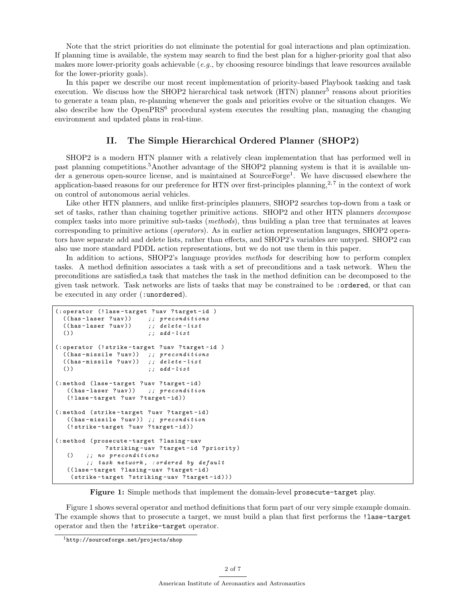Note that the strict priorities do not eliminate the potential for goal interactions and plan optimization. If planning time is available, the system may search to find the best plan for a higher-priority goal that also makes more lower-priority goals achievable  $(e,q)$ , by choosing resource bindings that leave resources available for the lower-priority goals).

In this paper we describe our most recent implementation of priority-based Playbook tasking and task execution. We discuss how the SHOP2 hierarchical task network (HTN) planner<sup>5</sup> reasons about priorities to generate a team plan, re-planning whenever the goals and priorities evolve or the situation changes. We also describe how the OpenPRS<sup>6</sup> procedural system executes the resulting plan, managing the changing environment and updated plans in real-time.

# II. The Simple Hierarchical Ordered Planner (SHOP2)

SHOP2 is a modern HTN planner with a relatively clean implementation that has performed well in past planning competitions.5Another advantage of the SHOP2 planning system is that it is available under a generous open-source license, and is maintained at SourceForge<sup>1</sup>. We have discussed elsewhere the application-based reasons for our preference for HTN over first-principles planning,<sup>2,7</sup> in the context of work on control of autonomous aerial vehicles.

Like other HTN planners, and unlike first-principles planners, SHOP2 searches top-down from a task or set of tasks, rather than chaining together primitive actions. SHOP2 and other HTN planners decompose complex tasks into more primitive sub-tasks (methods), thus building a plan tree that terminates at leaves corresponding to primitive actions (operators). As in earlier action representation languages, SHOP2 operators have separate add and delete lists, rather than effects, and SHOP2's variables are untyped. SHOP2 can also use more standard PDDL action representations, but we do not use them in this paper.

In addition to actions, SHOP2's language provides *methods* for describing how to perform complex tasks. A method definition associates a task with a set of preconditions and a task network. When the preconditions are satisfied,a task that matches the task in the method definition can be decomposed to the given task network. Task networks are lists of tasks that may be constrained to be :ordered, or that can be executed in any order (:unordered).

```
(: operator (! lase - target ? uav ? target - id )
  ((has-laser ?uav)) ;; preconditions<br>((has-laser ?uav)) ;; delete-list
  ((has - laser \; ?uav))()) ; add-list(: operator (! strike - target ? uav ? target - id )
  ((has-missile ?uav));; preconditions<br>((has-missile ?uav));; delete-list
  ((has -missile ?uav))()) ; \quad add-list(: method ( lase - target ? uav ? target - id )
   ((has-laser ?uav)) ;; precondition
   (! lase - target ? uav ? target - id ))
(: method ( strike - target ? uav ? target - id )
   ((has-missile ?uav)) ;; precondition
   (! strike - target ? uav ? target - id ))
(: method ( prosecute - target ? lasing - uav
               ? striking-uav ? target-id ? priority)
   () ;; no preconditions
         ;; task network , : ordered by default
   (( lase - target ? lasing - uav ? target - id )
    ( strike - target ? striking - uav ? target - id )))
```
Figure 1: Simple methods that implement the domain-level prosecute-target play.

Figure 1 shows several operator and method definitions that form part of our very simple example domain. The example shows that to prosecute a target, we must build a plan that first performs the !lase-target operator and then the !strike-target operator.

<sup>1</sup>http://sourceforge.net/projects/shop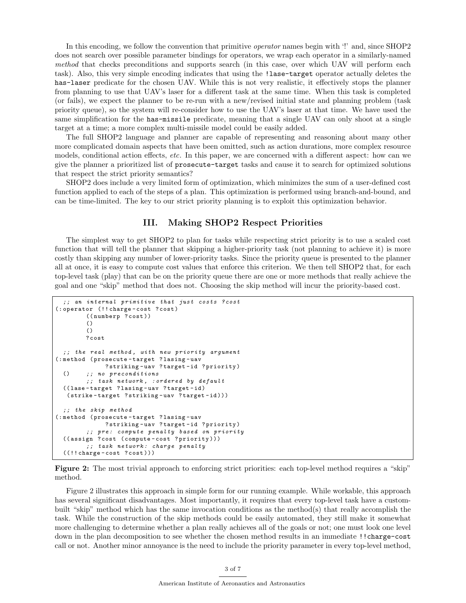In this encoding, we follow the convention that primitive *operator* names begin with '!' and, since SHOP2 does not search over possible parameter bindings for operators, we wrap each operator in a similarly-named method that checks preconditions and supports search (in this case, over which UAV will perform each task). Also, this very simple encoding indicates that using the !lase-target operator actually deletes the has-laser predicate for the chosen UAV. While this is not very realistic, it effectively stops the planner from planning to use that UAV's laser for a different task at the same time. When this task is completed (or fails), we expect the planner to be re-run with a new/revised initial state and planning problem (task priority queue), so the system will re-consider how to use the UAV's laser at that time. We have used the same simplification for the has-missile predicate, meaning that a single UAV can only shoot at a single target at a time; a more complex multi-missile model could be easily added.

The full SHOP2 language and planner are capable of representing and reasoning about many other more complicated domain aspects that have been omitted, such as action durations, more complex resource models, conditional action effects, etc. In this paper, we are concerned with a different aspect: how can we give the planner a prioritized list of prosecute-target tasks and cause it to search for optimized solutions that respect the strict priority semantics?

SHOP2 does include a very limited form of optimization, which minimizes the sum of a user-defined cost function applied to each of the steps of a plan. This optimization is performed using branch-and-bound, and can be time-limited. The key to our strict priority planning is to exploit this optimization behavior.

# III. Making SHOP2 Respect Priorities

The simplest way to get SHOP2 to plan for tasks while respecting strict priority is to use a scaled cost function that will tell the planner that skipping a higher-priority task (not planning to achieve it) is more costly than skipping any number of lower-priority tasks. Since the priority queue is presented to the planner all at once, it is easy to compute cost values that enforce this criterion. We then tell SHOP2 that, for each top-level task (play) that can be on the priority queue there are one or more methods that really achieve the goal and one "skip" method that does not. Choosing the skip method will incur the priority-based cost.

```
;; an internal primitive that just costs ? cost
(: operator (!! charge - cost ? cost )
        (( numberp ? cost ))
         ()
         ()
         ? cost
  ;; the real method , with new priority argument
(: method ( prosecute - target ? lasing - uav
              ? striking - uav ? target - id ? priority )
  () ;; no preconditions
         ;; task network , : ordered by default
  (( lase - target ? lasing - uav ? target - id )
   ( strike - target ? striking - uav ? target - id )))
  ;; the skip method
(: method ( prosecute - target ? lasing - uav
              ? striking - uav ? target - id ? priority )
         ;; pre: compute penalty based on priority
  (( assign ? cost ( compute - cost ? priority )))
         ;; task network: charge penalty
  ((!! charge - cost ? cost )))
```
Figure 2: The most trivial approach to enforcing strict priorities: each top-level method requires a "skip" method.

Figure 2 illustrates this approach in simple form for our running example. While workable, this approach has several significant disadvantages. Most importantly, it requires that every top-level task have a custombuilt "skip" method which has the same invocation conditions as the method(s) that really accomplish the task. While the construction of the skip methods could be easily automated, they still make it somewhat more challenging to determine whether a plan really achieves all of the goals or not; one must look one level down in the plan decomposition to see whether the chosen method results in an immediate !!charge-cost call or not. Another minor annoyance is the need to include the priority parameter in every top-level method,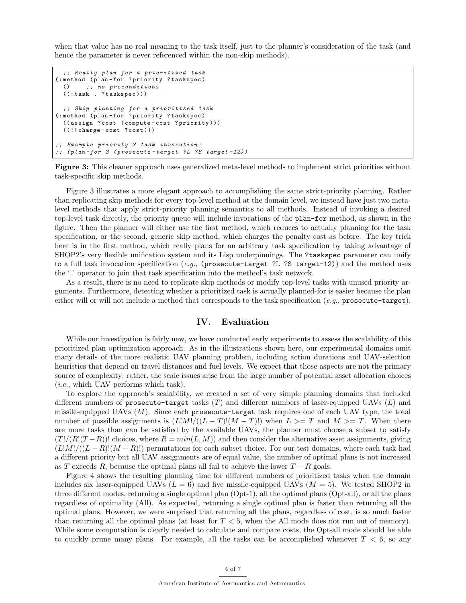when that value has no real meaning to the task itself, just to the planner's consideration of the task (and hence the parameter is never referenced within the non-skip methods).

```
;; Really plan for a prioritized task
(:method (plan-for ?priority ?taskspec)
 () ;; no preconditions
  ((: task . ? taskspec )))
  ;; Skip planning for a prioritized task
(: method ( plan - for ? priority ? taskspec )
  (( assign ? cost ( compute - cost ? priority )))
  ((!! charge - cost ? cost )))
;; Example priority =3 task invocation :
;; (plan-for 3 (prosecute-target ?L ?S target-12))
```
Figure 3: This cleaner approach uses generalized meta-level methods to implement strict priorities without task-specific skip methods.

Figure 3 illustrates a more elegant approach to accomplishing the same strict-priority planning. Rather than replicating skip methods for every top-level method at the domain level, we instead have just two metalevel methods that apply strict-priority planning semantics to all methods. Instead of invoking a desired top-level task directly, the priority queue will include invocations of the plan-for method, as shown in the figure. Then the planner will either use the first method, which reduces to actually planning for the task specification, or the second, generic skip method, which charges the penalty cost as before. The key trick here is in the first method, which really plans for an arbitrary task specification by taking advantage of SHOP2's very flexible unification system and its Lisp underpinnings. The ?taskspec parameter can unify to a full task invocation specification (e.g., (prosecute-target ?L ?S target-12)) and the method uses the '.' operator to join that task specification into the method's task network.

As a result, there is no need to replicate skip methods or modify top-level tasks with unused priority arguments. Furthermore, detecting whether a prioritized task is actually planned-for is easier because the plan either will or will not include a method that corresponds to the task specification (e.g., prosecute-target).

#### IV. Evaluation

While our investigation is fairly new, we have conducted early experiments to assess the scalability of this prioritized plan optimization approach. As in the illustrations shown here, our experimental domains omit many details of the more realistic UAV planning problem, including action durations and UAV-selection heuristics that depend on travel distances and fuel levels. We expect that those aspects are not the primary source of complexity; rather, the scale issues arise from the large number of potential asset allocation choices (i.e., which UAV performs which task).

To explore the approach's scalability, we created a set of very simple planning domains that included different numbers of prosecute-target tasks  $(T)$  and different numbers of laser-equipped UAVs  $(L)$  and missile-equipped UAVs  $(M)$ . Since each prosecute-target task requires one of each UAV type, the total number of possible assignments is  $(L!M!/((L-T)!(M-T)!)$  when  $L \geq T$  and  $M \geq T$ . When there are more tasks than can be satisfied by the available UAVs, the planner must choose a subset to satisfy  $(T!/(R!(T-R))!)$  choices, where  $R = min(L, M)$  and then consider the alternative asset assignments, giving  $(L!M!/((L-R)!(M-R)!))$  permutations for each subset choice. For our test domains, where each task had a different priority but all UAV assignments are of equal value, the number of optimal plans is not increased as T exceeds R, because the optimal plans all fail to achieve the lower  $T - R$  goals.

Figure 4 shows the resulting planning time for different numbers of prioritized tasks when the domain includes six laser-equipped UAVs  $(L = 6)$  and five missile-equipped UAVs  $(M = 5)$ . We tested SHOP2 in three different modes, returning a single optimal plan (Opt-1), all the optimal plans (Opt-all), or all the plans regardless of optimality (All). As expected, returning a single optimal plan is faster than returning all the optimal plans. However, we were surprised that returning all the plans, regardless of cost, is so much faster than returning all the optimal plans (at least for  $T < 5$ , when the All mode does not run out of memory). While some computation is clearly needed to calculate and compare costs, the Opt-all mode should be able to quickly prune many plans. For example, all the tasks can be accomplished whenever  $T < 6$ , so any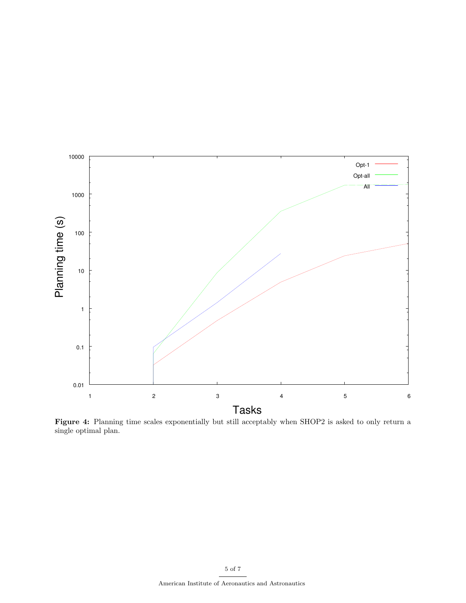

Figure 4: Planning time scales exponentially but still acceptably when SHOP2 is asked to only return a single optimal plan.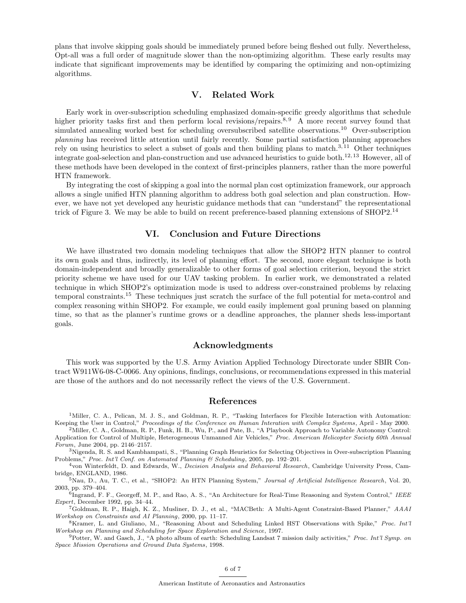plans that involve skipping goals should be immediately pruned before being fleshed out fully. Nevertheless, Opt-all was a full order of magnitude slower than the non-optimizing algorithm. These early results may indicate that significant improvements may be identified by comparing the optimizing and non-optimizing algorithms.

## V. Related Work

Early work in over-subscription scheduling emphasized domain-specific greedy algorithms that schedule higher priority tasks first and then perform local revisions/repairs.<sup>8, 9</sup> A more recent survey found that simulated annealing worked best for scheduling oversubscribed satellite observations.<sup>10</sup> Over-subscription planning has received little attention until fairly recently. Some partial satisfaction planning approaches rely on using heuristics to select a subset of goals and then building plans to match.3, 11 Other techniques integrate goal-selection and plan-construction and use advanced heuristics to guide both.<sup>12, 13</sup> However, all of these methods have been developed in the context of first-principles planners, rather than the more powerful HTN framework.

By integrating the cost of skipping a goal into the normal plan cost optimization framework, our approach allows a single unified HTN planning algorithm to address both goal selection and plan construction. However, we have not yet developed any heuristic guidance methods that can "understand" the representational trick of Figure 3. We may be able to build on recent preference-based planning extensions of SHOP2.<sup>14</sup>

# VI. Conclusion and Future Directions

We have illustrated two domain modeling techniques that allow the SHOP2 HTN planner to control its own goals and thus, indirectly, its level of planning effort. The second, more elegant technique is both domain-independent and broadly generalizable to other forms of goal selection criterion, beyond the strict priority scheme we have used for our UAV tasking problem. In earlier work, we demonstrated a related technique in which SHOP2's optimization mode is used to address over-constrained problems by relaxing temporal constraints.<sup>15</sup> These techniques just scratch the surface of the full potential for meta-control and complex reasoning within SHOP2. For example, we could easily implement goal pruning based on planning time, so that as the planner's runtime grows or a deadline approaches, the planner sheds less-important goals.

## Acknowledgments

This work was supported by the U.S. Army Aviation Applied Technology Directorate under SBIR Contract W911W6-08-C-0066. Any opinions, findings, conclusions, or recommendations expressed in this material are those of the authors and do not necessarily reflect the views of the U.S. Government.

#### References

<sup>1</sup>Miller, C. A., Pelican, M. J. S., and Goldman, R. P., "Tasking Interfaces for Flexible Interaction with Automation: Keeping the User in Control," Proceedings of the Conference on Human Interation with Complex Systems, April - May 2000. <sup>2</sup>Miller, C. A., Goldman, R. P., Funk, H. B., Wu, P., and Pate, B., "A Playbook Approach to Variable Autonomy Control:

Application for Control of Multiple, Heterogeneous Unmanned Air Vehicles," Proc. American Helicopter Society 60th Annual Forum, June 2004, pp. 2146–2157.

<sup>3</sup>Nigenda, R. S. and Kambhampati, S., "Planning Graph Heuristics for Selecting Objectives in Over-subscription Planning Problems," Proc. Int'l Conf. on Automated Planning & Scheduling, 2005, pp. 192–201.

<sup>4</sup>von Winterfeldt, D. and Edwards, W., *Decision Analysis and Behavioral Research*, Cambridge University Press, Cambridge, ENGLAND, 1986.

 $5$ Nau, D., Au, T. C., et al., "SHOP2: An HTN Planning System," Journal of Artificial Intelligence Research, Vol. 20, 2003, pp. 379–404.

<sup>6</sup>Ingrand, F. F., Georgeff, M. P., and Rao, A. S., "An Architecture for Real-Time Reasoning and System Control," IEEE Expert, December 1992, pp. 34–44.

<sup>7</sup>Goldman, R. P., Haigh, K. Z., Musliner, D. J., et al., "MACBeth: A Multi-Agent Constraint-Based Planner," AAAI Workshop on Constraints and AI Planning, 2000, pp. 11–17.

<sup>8</sup>Kramer, L. and Giuliano, M., "Reasoning About and Scheduling Linked HST Observations with Spike," Proc. Int'l Workshop on Planning and Scheduling for Space Exploration and Science, 1997.

<sup>9</sup>Potter, W. and Gasch, J., "A photo album of earth: Scheduling Landsat 7 mission daily activities," Proc. Int'l Symp. on Space Mission Operations and Ground Data Systems, 1998.